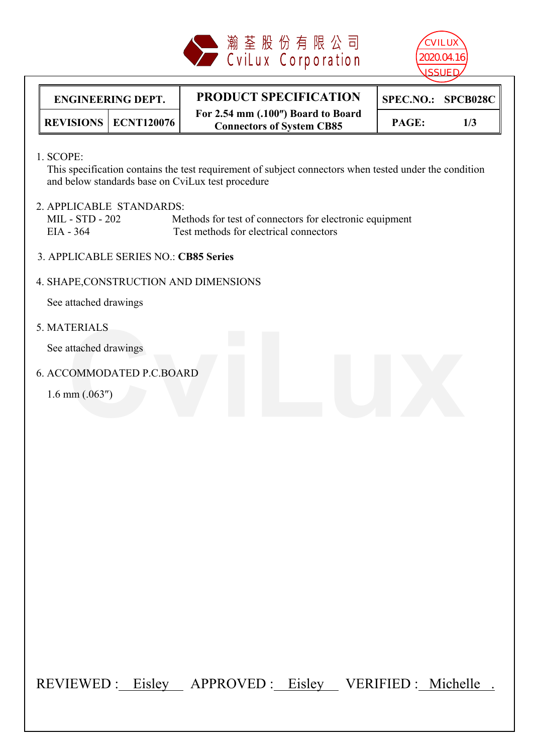



#### **ENGINEERING DEPT. PRODUCT SPECIFICATION For 2.54 mm (.100) Board to Board Connectors of System CB85 REVISIONS**  $\begin{bmatrix} ECNT120076 \end{bmatrix}$   $\begin{bmatrix} 1 & 0 & 0 \\ 0 & 0 & 0 \end{bmatrix}$   $\begin{bmatrix} 0 & 0 \\ 0 & 0 \end{bmatrix}$   $\begin{bmatrix} 0 & 0 \\ 0 & 0 \end{bmatrix}$   $\begin{bmatrix} 0 & 0 \\ 0 & 0 \end{bmatrix}$   $\begin{bmatrix} 0 & 0 \\ 0 & 0 \end{bmatrix}$   $\begin{bmatrix} 0 & 0 \\ 0 & 0 \end{bmatrix}$

1. SCOPE:

 This specification contains the test requirement of subject connectors when tested under the condition and below standards base on CviLux test procedure

# 2. APPLICABLE STANDARDS:

MIL - STD - 202 Methods for test of connectors for electronic equipment EIA - 364 Test methods for electrical connectors

3. APPLICABLE SERIES NO.: **CB85 Series** 

# 4. SHAPE,CONSTRUCTION AND DIMENSIONS

See attached drawings

5. MATERIALS

See attached drawings

6. ACCOMMODATED P.C.BOARD attached drawings<br>
COMMODATED P.C.BOARD<br>
mm (.063")

 $1.6$  mm  $(.063'')$ 

REVIEWED : Eisley APPROVED : Eisley VERIFIED : Michelle .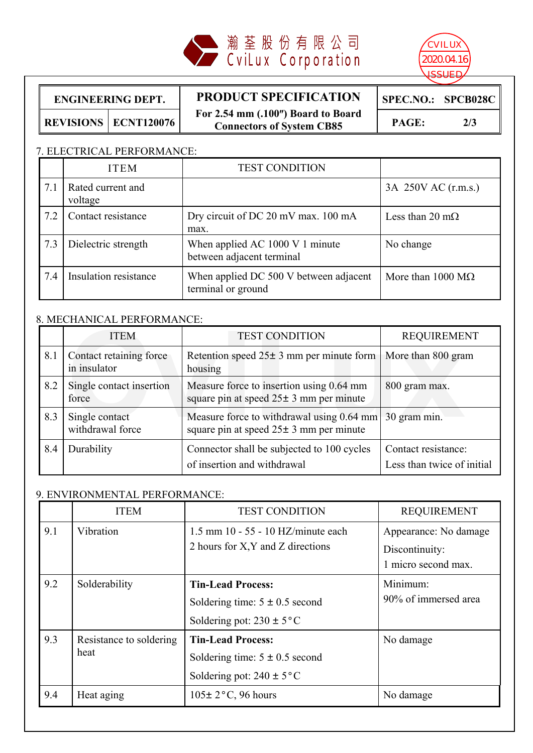



#### **ENGINEERING DEPT. PRODUCT SPECIFICATION For 2.54 mm (.100) Board to Board Connectors of System CB85 REVISIONS ECNT120076 PAGE: 2/3**

**SPEC.NO.: SPCB028C**

## 7. ELECTRICAL PERFORMANCE:

|     | <b>TEST CONDITION</b><br><b>ITEM</b> |                                                              |                                  |
|-----|--------------------------------------|--------------------------------------------------------------|----------------------------------|
| 7.1 | Rated current and<br>voltage         |                                                              | 3A 250V AC (r.m.s.)              |
| 7.2 | Contact resistance                   | Dry circuit of DC 20 mV max. 100 mA<br>max.                  |                                  |
| 7.3 | Dielectric strength                  | When applied AC 1000 V 1 minute<br>between adjacent terminal | No change                        |
| 7.4 | Insulation resistance                | When applied DC 500 V between adjacent<br>terminal or ground | More than $1000 \text{ M}\Omega$ |

## 8. MECHANICAL PERFORMANCE:

|     | <b>ITEM</b>                             | <b>TEST CONDITION</b>                                                                     | <b>REQUIREMENT</b>                                |  |
|-----|-----------------------------------------|-------------------------------------------------------------------------------------------|---------------------------------------------------|--|
| 8.1 | Contact retaining force<br>in insulator | Retention speed $25 \pm 3$ mm per minute form   More than 800 gram<br>housing             |                                                   |  |
| 8.2 | Single contact insertion<br>force       | Measure force to insertion using 0.64 mm<br>square pin at speed $25 \pm 3$ mm per minute  | 800 gram max.                                     |  |
| 8.3 | Single contact<br>withdrawal force      | Measure force to withdrawal using 0.64 mm<br>square pin at speed $25 \pm 3$ mm per minute | 30 gram min.                                      |  |
| 8.4 | Durability                              | Connector shall be subjected to 100 cycles<br>of insertion and withdrawal                 | Contact resistance:<br>Less than twice of initial |  |

### 9. ENVIRONMENTAL PERFORMANCE:

|     | <b>ITEM</b>                     | <b>TEST CONDITION</b>                                                                           | <b>REQUIREMENT</b>                                             |  |
|-----|---------------------------------|-------------------------------------------------------------------------------------------------|----------------------------------------------------------------|--|
| 9.1 | Vibration                       | $1.5$ mm $10 - 55 - 10$ HZ/minute each<br>2 hours for X, Y and Z directions                     | Appearance: No damage<br>Discontinuity:<br>1 micro second max. |  |
| 9.2 | Solderability                   | <b>Tin-Lead Process:</b><br>Soldering time: $5 \pm 0.5$ second<br>Soldering pot: $230 \pm 5$ °C | Minimum:<br>90% of immersed area                               |  |
| 9.3 | Resistance to soldering<br>heat | <b>Tin-Lead Process:</b><br>Soldering time: $5 \pm 0.5$ second<br>Soldering pot: $240 \pm 5$ °C | No damage                                                      |  |
| 9.4 | Heat aging                      | $105\pm 2$ °C, 96 hours                                                                         | No damage                                                      |  |